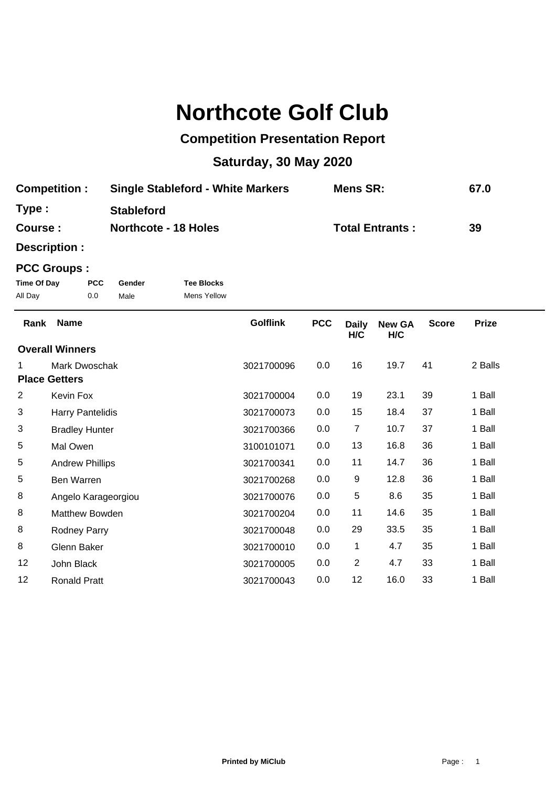## **Northcote Golf Club**

## **Competition Presentation Report**

## **Saturday, 30 May 2020**

| <b>Competition:</b> | <b>Single Stableford - White Markers</b> | <b>Mens SR:</b>        | 67.0 |
|---------------------|------------------------------------------|------------------------|------|
| Type :              | <b>Stableford</b>                        |                        |      |
| <b>Course :</b>     | <b>Northcote - 18 Holes</b>              | <b>Total Entrants:</b> | 39   |

**Description :**

## **PCC Groups :**

| Time Of Day | <b>PCC</b> | Gender | <b>Tee Blocks</b> |
|-------------|------------|--------|-------------------|
| All Day     | 0.0        | Male   | Mens Yellow       |

| Rank | <b>Name</b>            | <b>Golflink</b> | <b>PCC</b> | <b>Daily</b><br>H/C | <b>New GA</b><br>H/C | <b>Score</b> | <b>Prize</b> |
|------|------------------------|-----------------|------------|---------------------|----------------------|--------------|--------------|
|      | <b>Overall Winners</b> |                 |            |                     |                      |              |              |
| 1.   | Mark Dwoschak          | 3021700096      | 0.0        | 16                  | 19.7                 | 41           | 2 Balls      |
|      | <b>Place Getters</b>   |                 |            |                     |                      |              |              |
| 2    | Kevin Fox              | 3021700004      | 0.0        | 19                  | 23.1                 | 39           | 1 Ball       |
| 3    | Harry Pantelidis       | 3021700073      | 0.0        | 15                  | 18.4                 | 37           | 1 Ball       |
| 3    | <b>Bradley Hunter</b>  | 3021700366      | 0.0        | $\overline{7}$      | 10.7                 | 37           | 1 Ball       |
| 5    | Mal Owen               | 3100101071      | 0.0        | 13                  | 16.8                 | 36           | 1 Ball       |
| 5    | <b>Andrew Phillips</b> | 3021700341      | 0.0        | 11                  | 14.7                 | 36           | 1 Ball       |
| 5    | Ben Warren             | 3021700268      | 0.0        | 9                   | 12.8                 | 36           | 1 Ball       |
| 8    | Angelo Karageorgiou    | 3021700076      | 0.0        | 5                   | 8.6                  | 35           | 1 Ball       |
| 8    | Matthew Bowden         | 3021700204      | 0.0        | 11                  | 14.6                 | 35           | 1 Ball       |
| 8    | Rodney Parry           | 3021700048      | 0.0        | 29                  | 33.5                 | 35           | 1 Ball       |
| 8    | Glenn Baker            | 3021700010      | 0.0        | $\mathbf 1$         | 4.7                  | 35           | 1 Ball       |
| 12   | John Black             | 3021700005      | 0.0        | $\overline{2}$      | 4.7                  | 33           | 1 Ball       |
| 12   | <b>Ronald Pratt</b>    | 3021700043      | 0.0        | 12                  | 16.0                 | 33           | 1 Ball       |